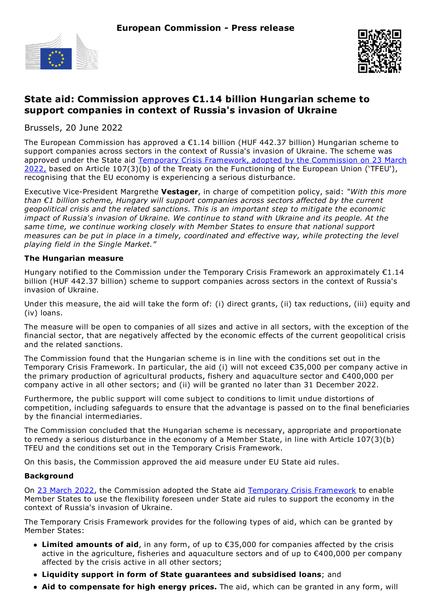



## **State aid: Commission approves €1.14 billion Hungarian scheme to support companies in context of Russia's invasion of Ukraine**

Brussels, 20 June 2022

The European Commission has approved a  $\epsilon$ 1.14 billion (HUF 442.37 billion) Hungarian scheme to support companies across sectors in the context of Russia's invasion of Ukraine. The scheme was approved under the State aid Temporary Crisis [Framework](https://eur-lex.europa.eu/legal-content/EN/TXT/?uri=uriserv:OJ.CI.2022.131.01.0001.01.ENG), adopted by the Commission on 23 March 2022, based on Article 107(3)(b) of the Treaty on the Functioning of the European Union ('TFEU'), recognising that the EU economy is experiencing a serious disturbance.

Executive Vice-President Margrethe **Vestager**, in charge of competition policy, said: *"With this more than €1 billion scheme, Hungary will support companies across sectors affected by the current geopolitical crisis and the related sanctions. This is an important step to mitigate the economic impact of Russia's invasion of Ukraine. We continue to stand with Ukraine and its people. At the same time, we continue working closely with Member States to ensure that national support measures can be put in place in a timely, coordinated and effective way, while protecting the level playing field in the Single Market."*

## **The Hungarian measure**

Hungary notified to the Commission under the Temporary Crisis Framework an approximately €1.14 billion (HUF 442.37 billion) scheme to support companies across sectors in the context of Russia's invasion of Ukraine.

Under this measure, the aid will take the form of: (i) direct grants, (ii) tax reductions, (iii) equity and (iv) loans.

The measure will be open to companies of all sizes and active in all sectors, with the exception of the financial sector, that are negatively affected by the economic effects of the current geopolitical crisis and the related sanctions.

The Commission found that the Hungarian scheme is in line with the conditions set out in the Temporary Crisis Framework. In particular, the aid (i) will not exceed €35,000 per company active in the primary production of agricultural products, fishery and aquaculture sector and €400,000 per company active in all other sectors; and (ii) will be granted no later than 31 December 2022.

Furthermore, the public support will come subject to conditions to limit undue distortions of competition, including safeguards to ensure that the advantage is passed on to the final beneficiaries by the financial intermediaries.

The Commission concluded that the Hungarian scheme is necessary, appropriate and proportionate to remedy a serious disturbance in the economy of a Member State, in line with Article 107(3)(b) TFEU and the conditions set out in the Temporary Crisis Framework.

On this basis, the Commission approved the aid measure under EU State aid rules.

## **Background**

On 23 [March](https://ec.europa.eu/commission/presscorner/detail/en/statement_22_1949) 2022, the Commission adopted the State aid Temporary Crisis [Framework](https://eur-lex.europa.eu/legal-content/EN/TXT/?uri=uriserv:OJ.CI.2022.131.01.0001.01.ENG) to enable Member States to use the flexibility foreseen under State aid rules to support the economy in the context of Russia's invasion of Ukraine.

The Temporary Crisis Framework provides for the following types of aid, which can be granted by Member States:

- **Limited amounts of aid**, in any form, of up to €35,000 for companies affected by the crisis active in the agriculture, fisheries and aquaculture sectors and of up to €400,000 per company affected by the crisis active in all other sectors;
- **Liquidity support in form of State guarantees and subsidised loans**; and
- **Aid to compensate for high energy prices.** The aid, which can be granted in any form, will